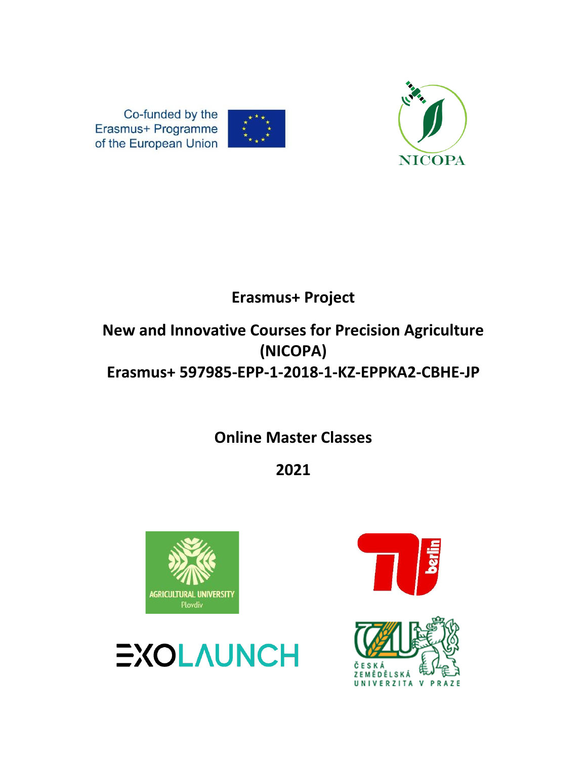



Co-funded by the Erasmus+ Programme of the European Union

## **Erasmus+ Project**

## **New and Innovative Courses for Precision Agriculture (NICOPA) Erasmus+ 597985-EPP-1-2018-1-KZ-EPPKA2-CBHE-JP**

**Online Master Classes** 

**2021**





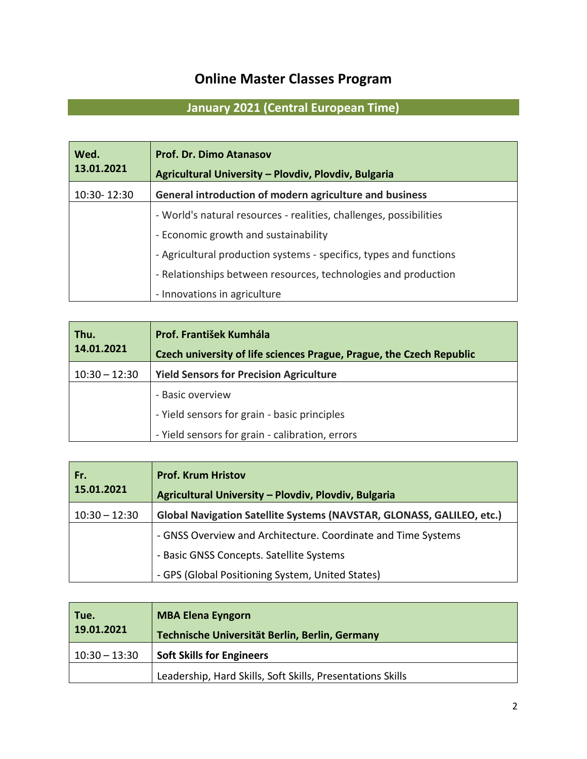## **Online Master Classes Program**

## **January 2021 (Central European Time)**

| Wed.<br>13.01.2021 | <b>Prof. Dr. Dimo Atanasov</b><br>Agricultural University - Plovdiv, Plovdiv, Bulgaria |
|--------------------|----------------------------------------------------------------------------------------|
| 10:30-12:30        | General introduction of modern agriculture and business                                |
|                    | - World's natural resources - realities, challenges, possibilities                     |
|                    | - Economic growth and sustainability                                                   |
|                    | - Agricultural production systems - specifics, types and functions                     |
|                    | - Relationships between resources, technologies and production                         |
|                    | - Innovations in agriculture                                                           |

| Thu.<br>14.01.2021 | Prof. František Kumhála<br>Czech university of life sciences Prague, Prague, the Czech Republic |
|--------------------|-------------------------------------------------------------------------------------------------|
| $10:30 - 12:30$    | <b>Yield Sensors for Precision Agriculture</b>                                                  |
|                    | - Basic overview                                                                                |
|                    | - Yield sensors for grain - basic principles                                                    |
|                    | - Yield sensors for grain - calibration, errors                                                 |

| Fr.<br>15.01.2021 | <b>Prof. Krum Hristov</b><br>Agricultural University - Plovdiv, Plovdiv, Bulgaria |
|-------------------|-----------------------------------------------------------------------------------|
| $10:30 - 12:30$   | Global Navigation Satellite Systems (NAVSTAR, GLONASS, GALILEO, etc.)             |
|                   | - GNSS Overview and Architecture. Coordinate and Time Systems                     |
|                   | - Basic GNSS Concepts. Satellite Systems                                          |
|                   | - GPS (Global Positioning System, United States)                                  |

| Tue.<br>19.01.2021 | <b>MBA Elena Eyngorn</b><br>Technische Universität Berlin, Berlin, Germany |
|--------------------|----------------------------------------------------------------------------|
| $10:30 - 13:30$    | <b>Soft Skills for Engineers</b>                                           |
|                    | Leadership, Hard Skills, Soft Skills, Presentations Skills                 |